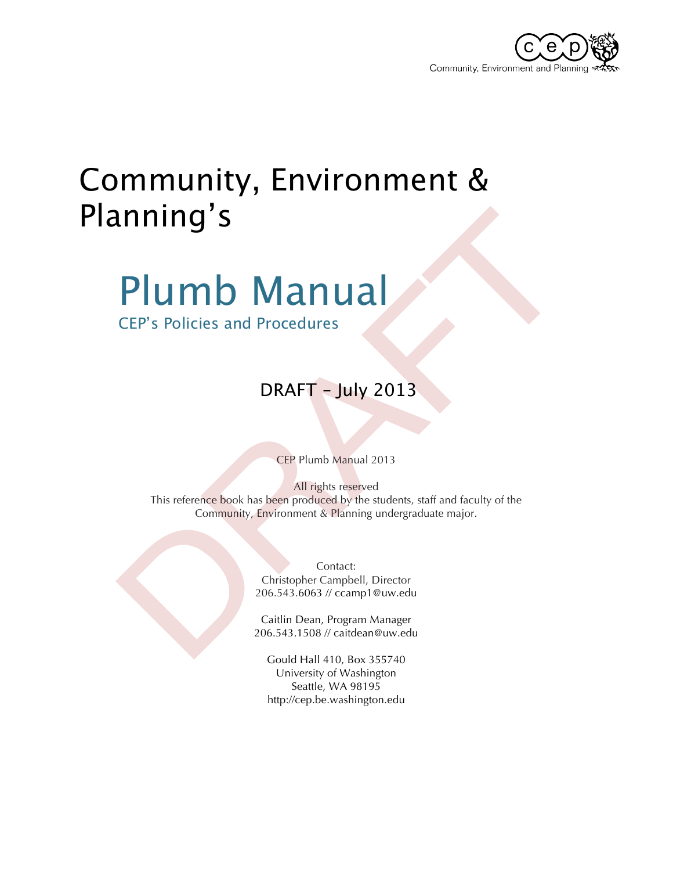

# Community, Environment & Planning's

# Plumb Manual

CEP's Policies and Procedures

### DRAFT – July 2013

CEP Plumb Manual 2013

All rights reserved This reference book has been produced by the students, staff and faculty of the Community, Environment & Planning undergraduate major.

> Contact: Christopher Campbell, Director 206.543.6063 // ccamp1@uw.edu

Caitlin Dean, Program Manager 206.543.1508 // caitdean@uw.edu

Gould Hall 410, Box 355740 University of Washington Seattle, WA 98195 http://cep.be.washington.edu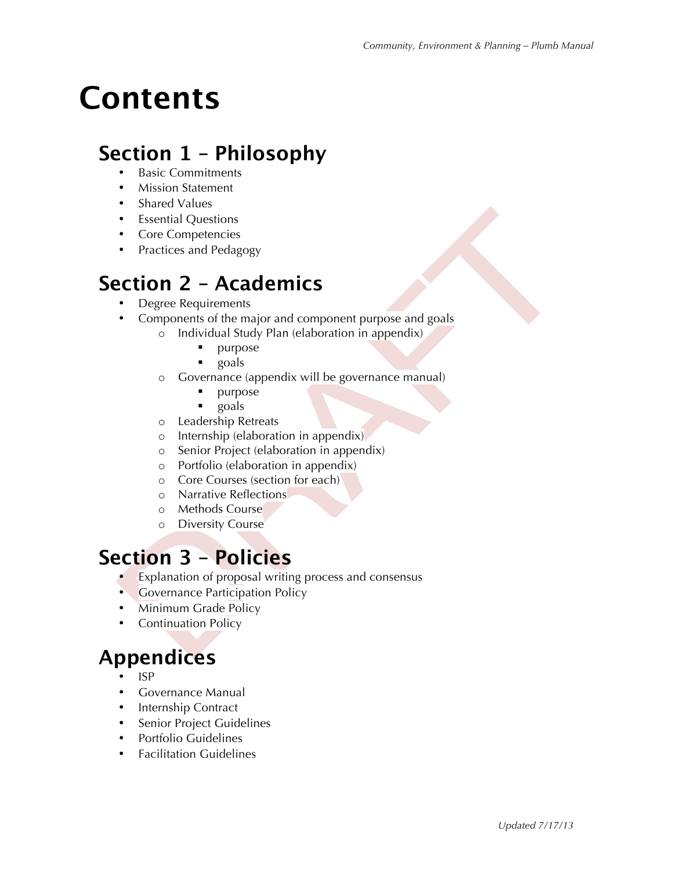# **Contents**

### **Section 1 – Philosophy**

- Basic Commitments
- Mission Statement
- Shared Values
- Essential Questions
- Core Competencies
- Practices and Pedagogy

### **Section 2 – Academics**

- Degree Requirements
- Components of the major and component purpose and goals
	- o Individual Study Plan (elaboration in appendix)
		- **•** purpose
		- ! goals
	- o Governance (appendix will be governance manual)
		- **•** purpose
		- ! goals
	- o Leadership Retreats
	- o Internship (elaboration in appendix)
	- o Senior Project (elaboration in appendix)
	- o Portfolio (elaboration in appendix)
	- o Core Courses (section for each)
	- o Narrative Reflections
	- o Methods Course
	- o Diversity Course

### **Section 3 – Policies**

- Explanation of proposal writing process and consensus
- **Governance Participation Policy**
- Minimum Grade Policy
- Continuation Policy

### **Appendices**

- ISP
- Governance Manual
- Internship Contract
- Senior Project Guidelines
- Portfolio Guidelines
- Facilitation Guidelines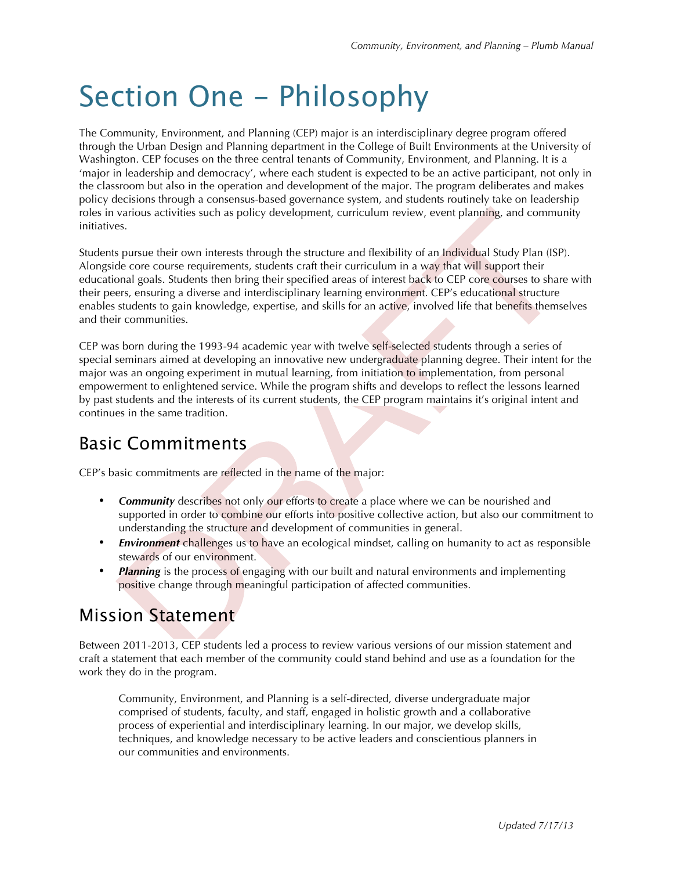# Section One - Philosophy

The Community, Environment, and Planning (CEP) major is an interdisciplinary degree program offered through the Urban Design and Planning department in the College of Built Environments at the University of Washington. CEP focuses on the three central tenants of Community, Environment, and Planning. It is a 'major in leadership and democracy', where each student is expected to be an active participant, not only in the classroom but also in the operation and development of the major. The program deliberates and makes policy decisions through a consensus-based governance system, and students routinely take on leadership roles in various activities such as policy development, curriculum review, event planning, and community initiatives.

Students pursue their own interests through the structure and flexibility of an Individual Study Plan (ISP). Alongside core course requirements, students craft their curriculum in a way that will support their educational goals. Students then bring their specified areas of interest back to CEP core courses to share with their peers, ensuring a diverse and interdisciplinary learning environment. CEP's educational structure enables students to gain knowledge, expertise, and skills for an active, involved life that benefits themselves and their communities.

CEP was born during the 1993-94 academic year with twelve self-selected students through a series of special seminars aimed at developing an innovative new undergraduate planning degree. Their intent for the major was an ongoing experiment in mutual learning, from initiation to implementation, from personal empowerment to enlightened service. While the program shifts and develops to reflect the lessons learned by past students and the interests of its current students, the CEP program maintains it's original intent and continues in the same tradition.

### Basic Commitments

CEP's basic commitments are reflected in the name of the major:

- **Community** describes not only our efforts to create a place where we can be nourished and supported in order to combine our efforts into positive collective action, but also our commitment to understanding the structure and development of communities in general.
- *Environment* challenges us to have an ecological mindset, calling on humanity to act as responsible stewards of our environment.
- **Planning** is the process of engaging with our built and natural environments and implementing positive change through meaningful participation of affected communities.

### Mission Statement

Between 2011-2013, CEP students led a process to review various versions of our mission statement and craft a statement that each member of the community could stand behind and use as a foundation for the work they do in the program.

Community, Environment, and Planning is a self-directed, diverse undergraduate major comprised of students, faculty, and staff, engaged in holistic growth and a collaborative process of experiential and interdisciplinary learning. In our major, we develop skills, techniques, and knowledge necessary to be active leaders and conscientious planners in our communities and environments.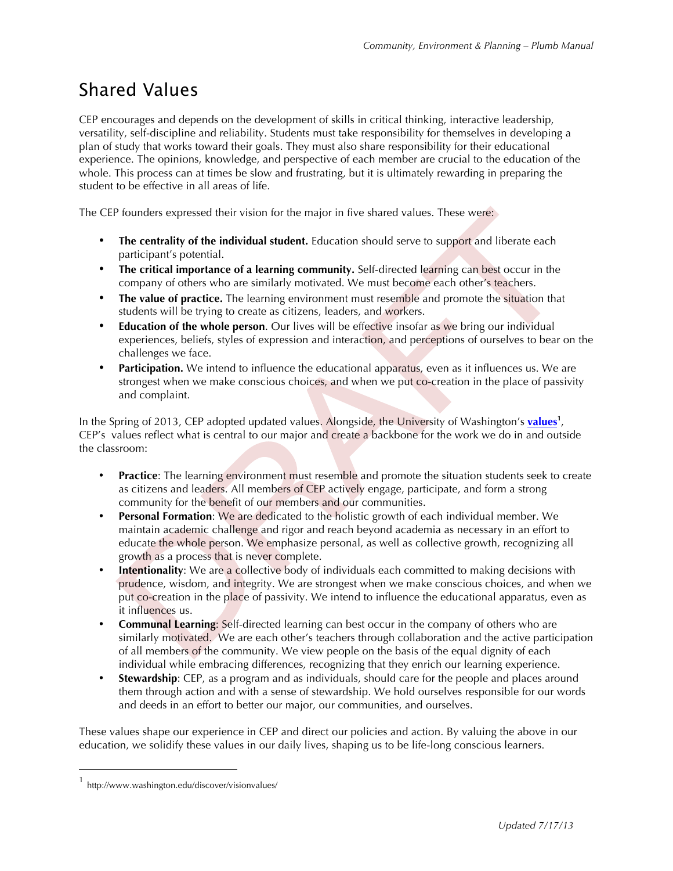### Shared Values

CEP encourages and depends on the development of skills in critical thinking, interactive leadership, versatility, self-discipline and reliability. Students must take responsibility for themselves in developing a plan of study that works toward their goals. They must also share responsibility for their educational experience. The opinions, knowledge, and perspective of each member are crucial to the education of the whole. This process can at times be slow and frustrating, but it is ultimately rewarding in preparing the student to be effective in all areas of life.

The CEP founders expressed their vision for the major in five shared values. These were:

- The centrality of the individual student. Education should serve to support and liberate each participant's potential.
- **The critical importance of a learning community.** Self-directed learning can best occur in the company of others who are similarly motivated. We must become each other's teachers.
- **The value of practice.** The learning environment must resemble and promote the situation that students will be trying to create as citizens, leaders, and workers.
- **Education of the whole person**. Our lives will be effective insofar as we bring our individual experiences, beliefs, styles of expression and interaction, and perceptions of ourselves to bear on the challenges we face.
- **Participation.** We intend to influence the educational apparatus, even as it influences us. We are strongest when we make conscious choices, and when we put co-creation in the place of passivity and complaint.

In the Spring of 2013, CEP adopted updated values. Alongside, the University of Washington's **values<sup>1</sup>** , CEP's values reflect what is central to our major and create a backbone for the work we do in and outside the classroom:

- **Practice**: The learning environment must resemble and promote the situation students seek to create as citizens and leaders. All members of CEP actively engage, participate, and form a strong community for the benefit of our members and our communities.
- **Personal Formation**: We are dedicated to the holistic growth of each individual member. We maintain academic challenge and rigor and reach beyond academia as necessary in an effort to educate the whole person. We emphasize personal, as well as collective growth, recognizing all growth as a process that is never complete.
- **Intentionality:** We are a collective body of individuals each committed to making decisions with prudence, wisdom, and integrity. We are strongest when we make conscious choices, and when we put co-creation in the place of passivity. We intend to influence the educational apparatus, even as it influences us.
- **Communal Learning**: Self-directed learning can best occur in the company of others who are similarly motivated. We are each other's teachers through collaboration and the active participation of all members of the community. We view people on the basis of the equal dignity of each individual while embracing differences, recognizing that they enrich our learning experience.
- **Stewardship:** CEP, as a program and as individuals, should care for the people and places around them through action and with a sense of stewardship. We hold ourselves responsible for our words and deeds in an effort to better our major, our communities, and ourselves.

These values shape our experience in CEP and direct our policies and action. By valuing the above in our education, we solidify these values in our daily lives, shaping us to be life-long conscious learners.

 <sup>1</sup> http://www.washington.edu/discover/visionvalues/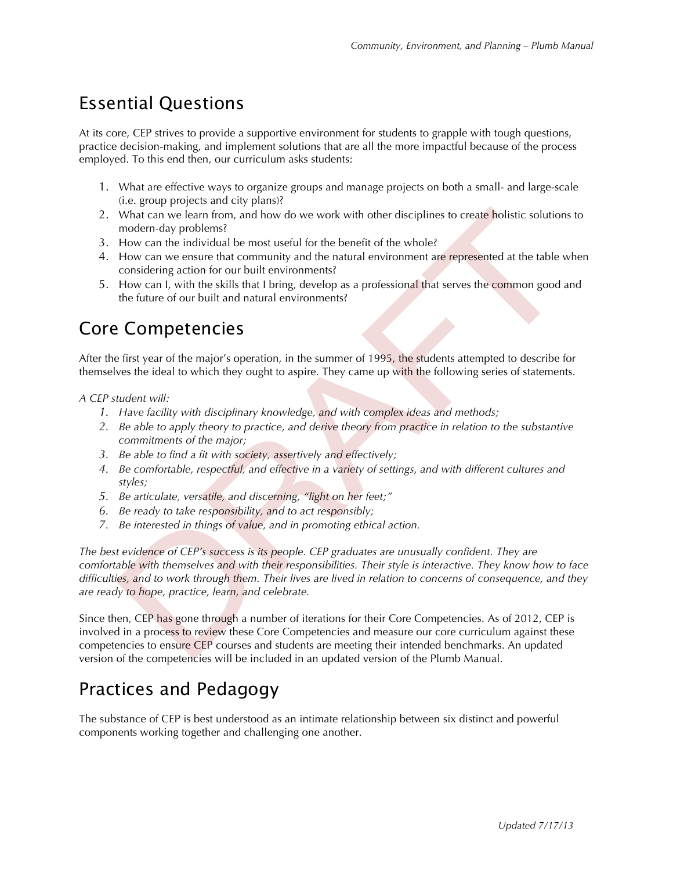### Essential Questions

At its core, CEP strives to provide a supportive environment for students to grapple with tough questions, practice decision-making, and implement solutions that are all the more impactful because of the process employed. To this end then, our curriculum asks students:

- 1. What are effective ways to organize groups and manage projects on both a small- and large-scale (i.e. group projects and city plans)?
- 2. What can we learn from, and how do we work with other disciplines to create holistic solutions to modern-day problems?
- 3. How can the individual be most useful for the benefit of the whole?
- 4. How can we ensure that community and the natural environment are represented at the table when considering action for our built environments?
- 5. How can I, with the skills that I bring, develop as a professional that serves the common good and the future of our built and natural environments?

### Core Competencies

After the first year of the major's operation, in the summer of 1995, the students attempted to describe for themselves the ideal to which they ought to aspire. They came up with the following series of statements.

#### *A CEP student will:*

- *1. Have facility with disciplinary knowledge, and with complex ideas and methods;*
- *2. Be able to apply theory to practice, and derive theory from practice in relation to the substantive commitments of the major;*
- *3. Be able to find a fit with society, assertively and effectively;*
- *4. Be comfortable, respectful, and effective in a variety of settings, and with different cultures and styles;*
- *5. Be articulate, versatile, and discerning, "light on her feet;"*
- *6. Be ready to take responsibility, and to act responsibly;*
- *7. Be interested in things of value, and in promoting ethical action.*

*The best evidence of CEP's success is its people. CEP graduates are unusually confident. They are comfortable with themselves and with their responsibilities. Their style is interactive. They know how to face difficulties, and to work through them. Their lives are lived in relation to concerns of consequence, and they are ready to hope, practice, learn, and celebrate.*

Since then, CEP has gone through a number of iterations for their Core Competencies. As of 2012, CEP is involved in a process to review these Core Competencies and measure our core curriculum against these competencies to ensure CEP courses and students are meeting their intended benchmarks. An updated version of the competencies will be included in an updated version of the Plumb Manual.

### Practices and Pedagogy

The substance of CEP is best understood as an intimate relationship between six distinct and powerful components working together and challenging one another.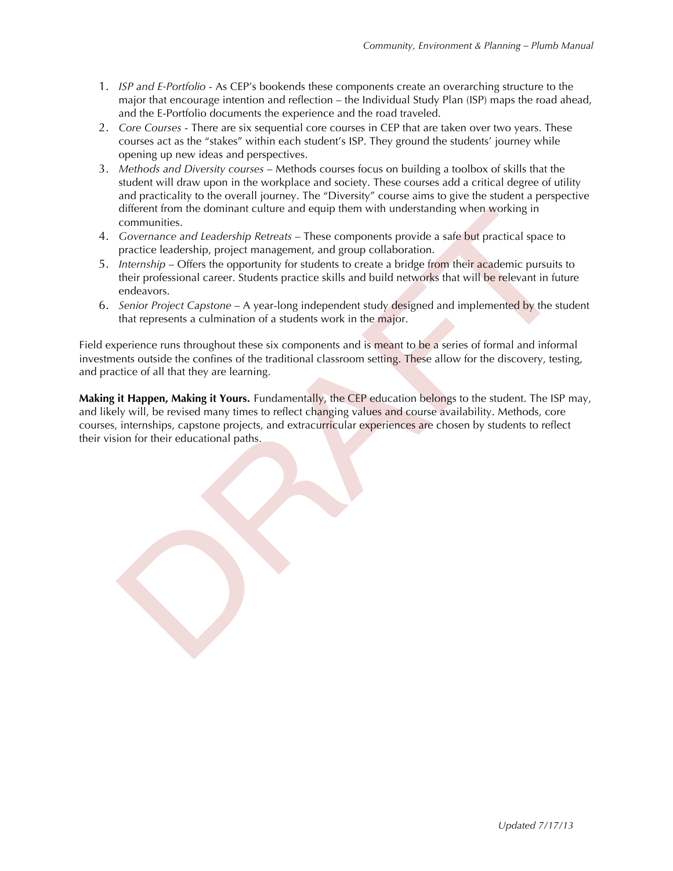- 1. *ISP and E-Portfolio* As CEP's bookends these components create an overarching structure to the major that encourage intention and reflection – the Individual Study Plan (ISP) maps the road ahead, and the E-Portfolio documents the experience and the road traveled.
- 2. *Core Courses* There are six sequential core courses in CEP that are taken over two years. These courses act as the "stakes" within each student's ISP. They ground the students' journey while opening up new ideas and perspectives.
- 3. *Methods and Diversity courses* Methods courses focus on building a toolbox of skills that the student will draw upon in the workplace and society. These courses add a critical degree of utility and practicality to the overall journey. The "Diversity" course aims to give the student a perspective different from the dominant culture and equip them with understanding when working in communities.
- 4. *Governance and Leadership Retreats* These components provide a safe but practical space to practice leadership, project management, and group collaboration.
- 5. *Internship* Offers the opportunity for students to create a bridge from their academic pursuits to their professional career. Students practice skills and build networks that will be relevant in future endeavors.
- 6. *Senior Project Capstone* A year-long independent study designed and implemented by the student that represents a culmination of a students work in the major.

Field experience runs throughout these six components and is meant to be a series of formal and informal investments outside the confines of the traditional classroom setting. These allow for the discovery, testing, and practice of all that they are learning.

**Making it Happen, Making it Yours.** Fundamentally, the CEP education belongs to the student. The ISP may, and likely will, be revised many times to reflect changing values and course availability. Methods, core courses, internships, capstone projects, and extracurricular experiences are chosen by students to reflect their vision for their educational paths.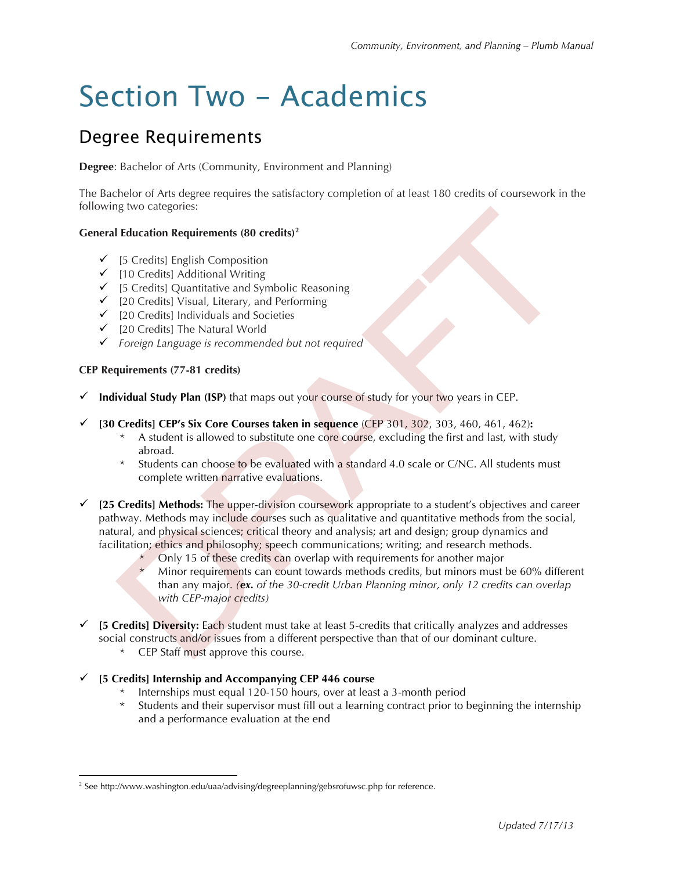# Section Two - Academics

### Degree Requirements

**Degree**: Bachelor of Arts (Community, Environment and Planning)

The Bachelor of Arts degree requires the satisfactory completion of at least 180 credits of coursework in the following two categories:

#### **General Education Requirements (80 credits)<sup>2</sup>**

- $\checkmark$  [5 Credits] English Composition
- $\checkmark$  [10 Credits] Additional Writing
- $\checkmark$  [5 Credits] Quantitative and Symbolic Reasoning
- $\checkmark$  [20 Credits] Visual, Literary, and Performing
- $\checkmark$  [20 Credits] Individuals and Societies
- $\checkmark$  [20 Credits] The Natural World
- " *Foreign Language is recommended but not required*

#### **CEP Requirements (77-81 credits)**

- " **Individual Study Plan (ISP)** that maps out your course of study for your two years in CEP.
- " **[30 Credits] CEP's Six Core Courses taken in sequence** (CEP 301, 302, 303, 460, 461, 462)**:**
	- \* A student is allowed to substitute one core course, excluding the first and last, with study abroad.
	- \* Students can choose to be evaluated with a standard 4.0 scale or C/NC. All students must complete written narrative evaluations.
- $\checkmark$  [25 Credits] Methods: The upper-division coursework appropriate to a student's objectives and career pathway. Methods may include courses such as qualitative and quantitative methods from the social, natural, and physical sciences; critical theory and analysis; art and design; group dynamics and facilitation; ethics and philosophy; speech communications; writing; and research methods.
	- Only 15 of these credits can overlap with requirements for another major
	- Minor requirements can count towards methods credits, but minors must be 60% different than any major. *(ex. of the 30-credit Urban Planning minor, only 12 credits can overlap with CEP-major credits)*
- " **[5 Credits] Diversity:** Each student must take at least 5-credits that critically analyzes and addresses social constructs and/or issues from a different perspective than that of our dominant culture.
	- \* CEP Staff must approve this course.

#### " **[5 Credits] Internship and Accompanying CEP 446 course**

- Internships must equal 120-150 hours, over at least a 3-month period
- Students and their supervisor must fill out a learning contract prior to beginning the internship and a performance evaluation at the end

<sup>&</sup>lt;sup>2</sup> See http://www.washington.edu/uaa/advising/degreeplanning/gebsrofuwsc.php for reference.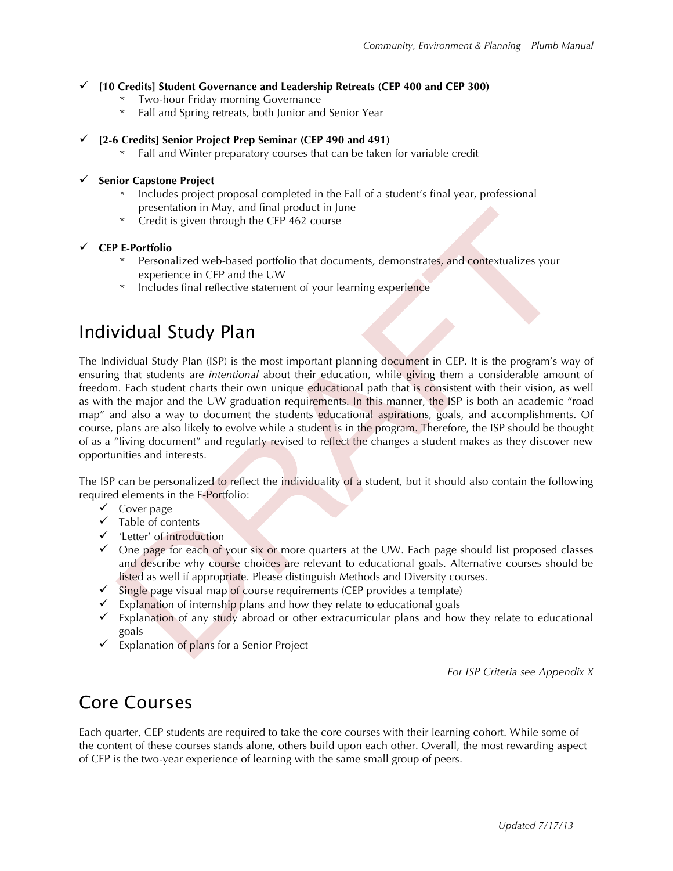#### " **[10 Credits] Student Governance and Leadership Retreats (CEP 400 and CEP 300)**

- Two-hour Friday morning Governance
- Fall and Spring retreats, both Junior and Senior Year

#### " **[2-6 Credits] Senior Project Prep Seminar (CEP 490 and 491)**

Fall and Winter preparatory courses that can be taken for variable credit

#### **Senior Capstone Project**

- Includes project proposal completed in the Fall of a student's final year, professional presentation in May, and final product in June
- \* Credit is given through the CEP 462 course

#### " **CEP E-Portfolio**

- \* Personalized web-based portfolio that documents, demonstrates, and contextualizes your experience in CEP and the UW
- \* Includes final reflective statement of your learning experience

### Individual Study Plan

The Individual Study Plan (ISP) is the most important planning document in CEP. It is the program's way of ensuring that students are *intentional* about their education, while giving them a considerable amount of freedom. Each student charts their own unique educational path that is consistent with their vision, as well as with the major and the UW graduation requirements. In this manner, the ISP is both an academic "road map" and also a way to document the students educational aspirations, goals, and accomplishments. Of course, plans are also likely to evolve while a student is in the program. Therefore, the ISP should be thought of as a "living document" and regularly revised to reflect the changes a student makes as they discover new opportunities and interests.

The ISP can be personalized to reflect the individuality of a student, but it should also contain the following required elements in the E-Portfolio:

- $\checkmark$  Cover page
- $\checkmark$  Table of contents
- $\checkmark$  'Letter' of introduction
- $\checkmark$  One page for each of your six or more quarters at the UW. Each page should list proposed classes and describe why course choices are relevant to educational goals. Alternative courses should be listed as well if appropriate. Please distinguish Methods and Diversity courses.
- $\checkmark$  Single page visual map of course requirements (CEP provides a template)
- $\checkmark$  Explanation of internship plans and how they relate to educational goals
- $\checkmark$  Explanation of any study abroad or other extracurricular plans and how they relate to educational goals
- $\checkmark$  Explanation of plans for a Senior Project

*For ISP Criteria see Appendix X*

### Core Courses

Each quarter, CEP students are required to take the core courses with their learning cohort. While some of the content of these courses stands alone, others build upon each other. Overall, the most rewarding aspect of CEP is the two-year experience of learning with the same small group of peers.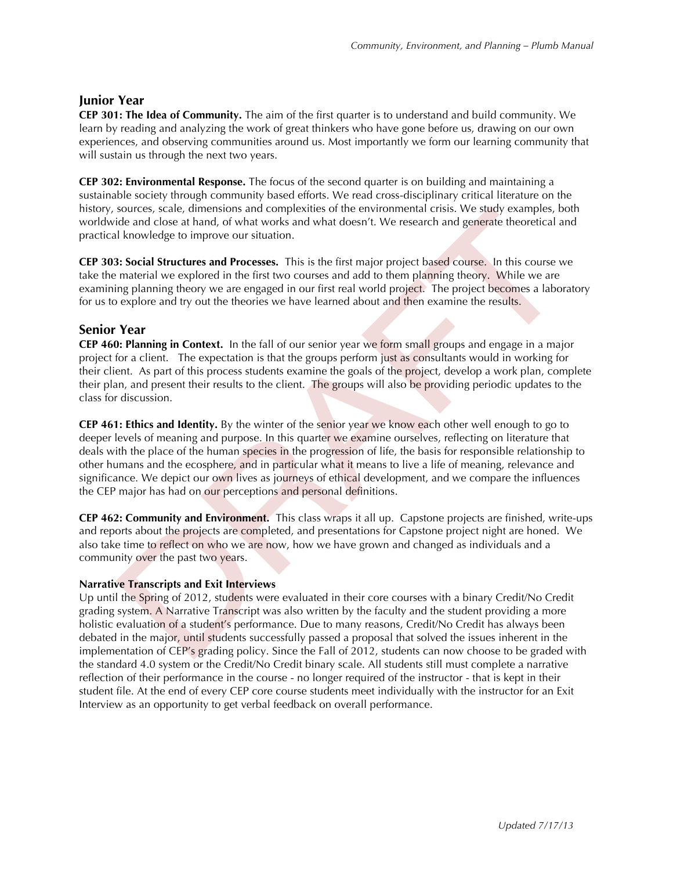#### **Junior Year**

**CEP 301: The Idea of Community.** The aim of the first quarter is to understand and build community. We learn by reading and analyzing the work of great thinkers who have gone before us, drawing on our own experiences, and observing communities around us. Most importantly we form our learning community that will sustain us through the next two years.

**CEP 302: Environmental Response.** The focus of the second quarter is on building and maintaining a sustainable society through community based efforts. We read cross-disciplinary critical literature on the history, sources, scale, dimensions and complexities of the environmental crisis. We study examples, both worldwide and close at hand, of what works and what doesn't. We research and generate theoretical and practical knowledge to improve our situation.

**CEP 303: Social Structures and Processes.** This is the first major project based course. In this course we take the material we explored in the first two courses and add to them planning theory. While we are examining planning theory we are engaged in our first real world project. The project becomes a laboratory for us to explore and try out the theories we have learned about and then examine the results.

#### **Senior Year**

**CEP 460: Planning in Context.** In the fall of our senior year we form small groups and engage in a major project for a client. The expectation is that the groups perform just as consultants would in working for their client. As part of this process students examine the goals of the project, develop a work plan, complete their plan, and present their results to the client. The groups will also be providing periodic updates to the class for discussion.

**CEP 461: Ethics and Identity.** By the winter of the senior year we know each other well enough to go to deeper levels of meaning and purpose. In this quarter we examine ourselves, reflecting on literature that deals with the place of the human species in the progression of life, the basis for responsible relationship to other humans and the ecosphere, and in particular what it means to live a life of meaning, relevance and significance. We depict our own lives as journeys of ethical development, and we compare the influences the CEP major has had on our perceptions and personal definitions.

**CEP 462: Community and Environment.** This class wraps it all up. Capstone projects are finished, write-ups and reports about the projects are completed, and presentations for Capstone project night are honed. We also take time to reflect on who we are now, how we have grown and changed as individuals and a community over the past two years.

#### **Narrative Transcripts and Exit Interviews**

Up until the Spring of 2012, students were evaluated in their core courses with a binary Credit/No Credit grading system. A Narrative Transcript was also written by the faculty and the student providing a more holistic evaluation of a student's performance. Due to many reasons, Credit/No Credit has always been debated in the major, until students successfully passed a proposal that solved the issues inherent in the implementation of CEP's grading policy. Since the Fall of 2012, students can now choose to be graded with the standard 4.0 system or the Credit/No Credit binary scale. All students still must complete a narrative reflection of their performance in the course - no longer required of the instructor - that is kept in their student file. At the end of every CEP core course students meet individually with the instructor for an Exit Interview as an opportunity to get verbal feedback on overall performance.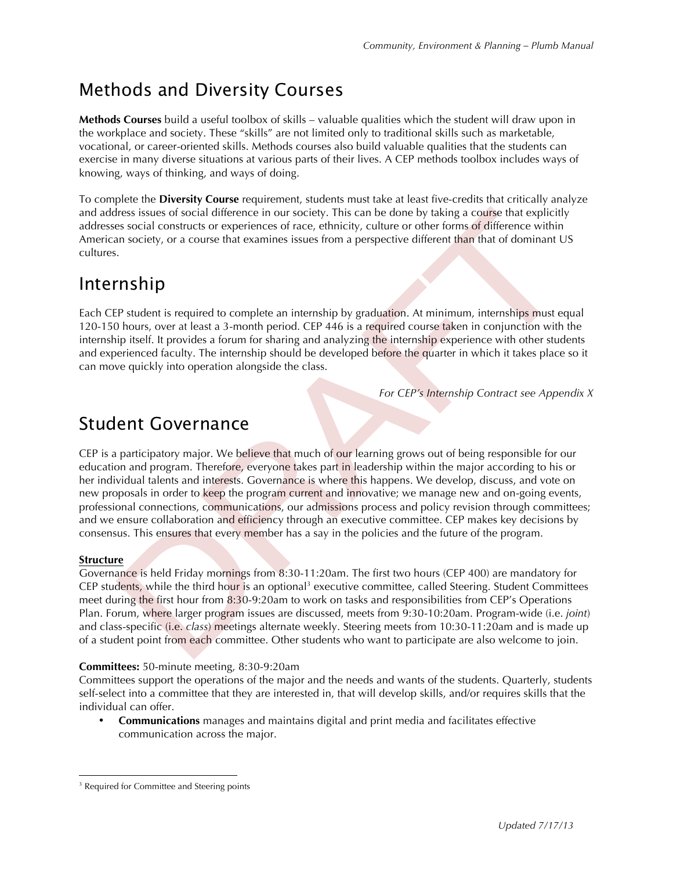### Methods and Diversity Courses

**Methods Courses** build a useful toolbox of skills – valuable qualities which the student will draw upon in the workplace and society. These "skills" are not limited only to traditional skills such as marketable, vocational, or career-oriented skills. Methods courses also build valuable qualities that the students can exercise in many diverse situations at various parts of their lives. A CEP methods toolbox includes ways of knowing, ways of thinking, and ways of doing.

To complete the **Diversity Course** requirement, students must take at least five-credits that critically analyze and address issues of social difference in our society. This can be done by taking a course that explicitly addresses social constructs or experiences of race, ethnicity, culture or other forms of difference within American society, or a course that examines issues from a perspective different than that of dominant US cultures.

### Internship

Each CEP student is required to complete an internship by graduation. At minimum, internships must equal 120-150 hours, over at least a 3-month period. CEP 446 is a required course taken in conjunction with the internship itself. It provides a forum for sharing and analyzing the internship experience with other students and experienced faculty. The internship should be developed before the quarter in which it takes place so it can move quickly into operation alongside the class.

*For CEP's Internship Contract see Appendix X*

### Student Governance

CEP is a participatory major. We believe that much of our learning grows out of being responsible for our education and program. Therefore, everyone takes part in leadership within the major according to his or her individual talents and interests. Governance is where this happens. We develop, discuss, and vote on new proposals in order to keep the program current and innovative; we manage new and on-going events, professional connections, communications, our admissions process and policy revision through committees; and we ensure collaboration and efficiency through an executive committee. CEP makes key decisions by consensus. This ensures that every member has a say in the policies and the future of the program.

#### **Structure**

Governance is held Friday mornings from 8:30-11:20am. The first two hours (CEP 400) are mandatory for CEP students, while the third hour is an optional<sup>3</sup> executive committee, called Steering. Student Committees meet during the first hour from 8:30-9:20am to work on tasks and responsibilities from CEP's Operations Plan. Forum, where larger program issues are discussed, meets from 9:30-10:20am. Program-wide (i.e. *joint*) and class-specific (i.e. *class*) meetings alternate weekly. Steering meets from 10:30-11:20am and is made up of a student point from each committee. Other students who want to participate are also welcome to join.

#### **Committees:** 50-minute meeting, 8:30-9:20am

Committees support the operations of the major and the needs and wants of the students. Quarterly, students self-select into a committee that they are interested in, that will develop skills, and/or requires skills that the individual can offer.

• **Communications** manages and maintains digital and print media and facilitates effective communication across the major.

<sup>&</sup>lt;sup>3</sup> Required for Committee and Steering points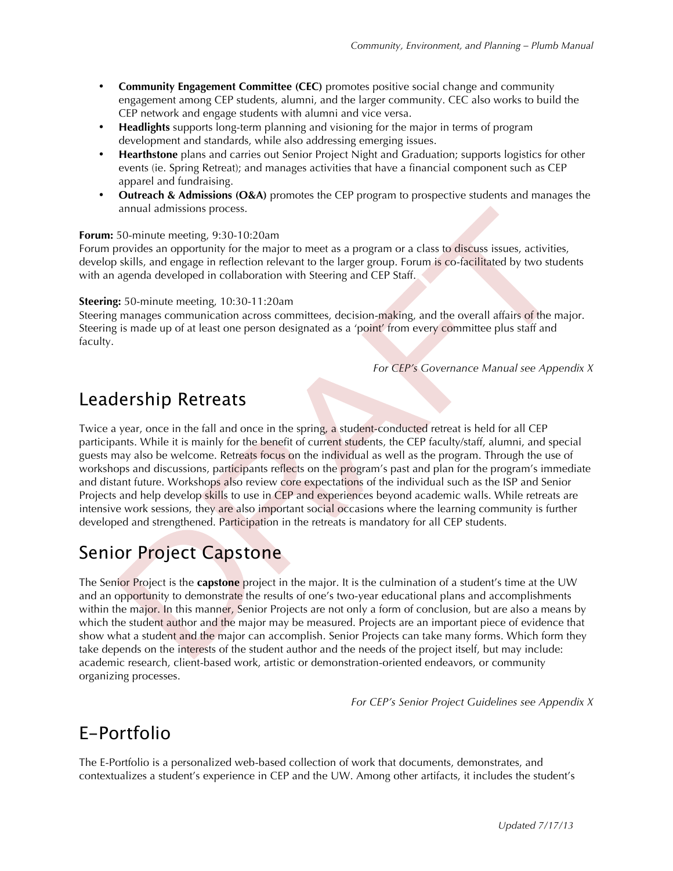- **Community Engagement Committee (CEC)** promotes positive social change and community engagement among CEP students, alumni, and the larger community. CEC also works to build the CEP network and engage students with alumni and vice versa.
- **Headlights** supports long-term planning and visioning for the major in terms of program development and standards, while also addressing emerging issues.
- **Hearthstone** plans and carries out Senior Project Night and Graduation; supports logistics for other events (ie. Spring Retreat); and manages activities that have a financial component such as CEP apparel and fundraising.
- **Outreach & Admissions (O&A)** promotes the CEP program to prospective students and manages the annual admissions process.

#### **Forum:** 50-minute meeting, 9:30-10:20am

Forum provides an opportunity for the major to meet as a program or a class to discuss issues, activities, develop skills, and engage in reflection relevant to the larger group. Forum is co-facilitated by two students with an agenda developed in collaboration with Steering and CEP Staff.

#### **Steering:** 50-minute meeting, 10:30-11:20am

Steering manages communication across committees, decision-making, and the overall affairs of the major. Steering is made up of at least one person designated as a 'point' from every committee plus staff and faculty.

*For CEP's Governance Manual see Appendix X*

### Leadership Retreats

Twice a year, once in the fall and once in the spring, a student-conducted retreat is held for all CEP participants. While it is mainly for the benefit of current students, the CEP faculty/staff, alumni, and special guests may also be welcome. Retreats focus on the individual as well as the program. Through the use of workshops and discussions, participants reflects on the program's past and plan for the program's immediate and distant future. Workshops also review core expectations of the individual such as the ISP and Senior Projects and help develop skills to use in CEP and experiences beyond academic walls. While retreats are intensive work sessions, they are also important social occasions where the learning community is further developed and strengthened. Participation in the retreats is mandatory for all CEP students.

### Senior Project Capstone

The Senior Project is the **capstone** project in the major. It is the culmination of a student's time at the UW and an opportunity to demonstrate the results of one's two-year educational plans and accomplishments within the major. In this manner, Senior Projects are not only a form of conclusion, but are also a means by which the student author and the major may be measured. Projects are an important piece of evidence that show what a student and the major can accomplish. Senior Projects can take many forms. Which form they take depends on the interests of the student author and the needs of the project itself, but may include: academic research, client-based work, artistic or demonstration-oriented endeavors, or community organizing processes.

*For CEP's Senior Project Guidelines see Appendix X*

### E-Portfolio

The E-Portfolio is a personalized web-based collection of work that documents, demonstrates, and contextualizes a student's experience in CEP and the UW. Among other artifacts, it includes the student's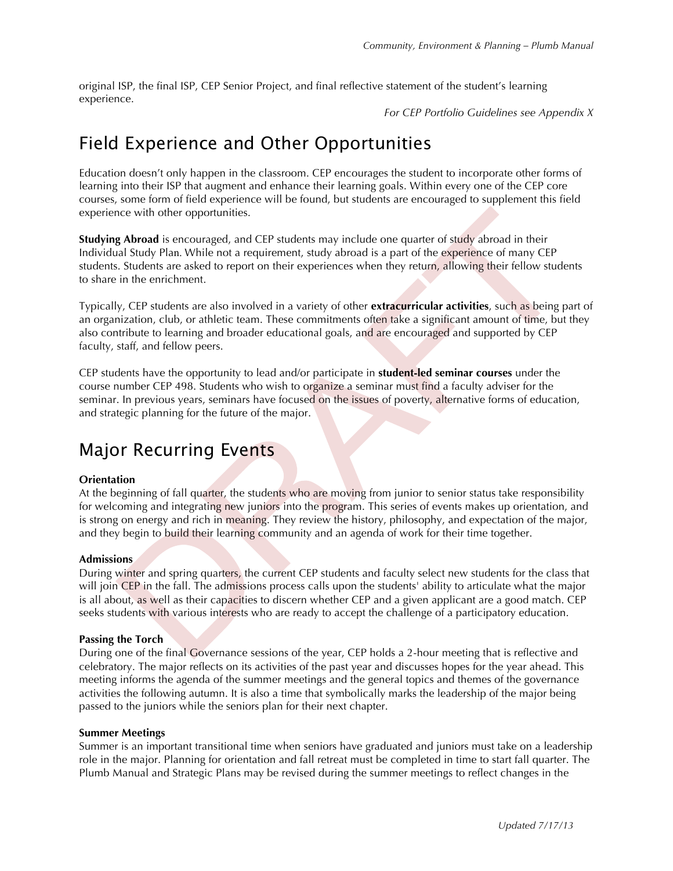original ISP, the final ISP, CEP Senior Project, and final reflective statement of the student's learning experience.

*For CEP Portfolio Guidelines see Appendix X*

### Field Experience and Other Opportunities

Education doesn't only happen in the classroom. CEP encourages the student to incorporate other forms of learning into their ISP that augment and enhance their learning goals. Within every one of the CEP core courses, some form of field experience will be found, but students are encouraged to supplement this field experience with other opportunities.

**Studying Abroad** is encouraged, and CEP students may include one quarter of study abroad in their Individual Study Plan. While not a requirement, study abroad is a part of the experience of many CEP students. Students are asked to report on their experiences when they return, allowing their fellow students to share in the enrichment.

Typically, CEP students are also involved in a variety of other **extracurricular activities**, such as being part of an organization, club, or athletic team. These commitments often take a significant amount of time, but they also contribute to learning and broader educational goals, and are encouraged and supported by CEP faculty, staff, and fellow peers.

CEP students have the opportunity to lead and/or participate in **student-led seminar courses** under the course number CEP 498. Students who wish to organize a seminar must find a faculty adviser for the seminar. In previous years, seminars have focused on the issues of poverty, alternative forms of education, and strategic planning for the future of the major.

### Major Recurring Events

#### **Orientation**

At the beginning of fall quarter, the students who are moving from junior to senior status take responsibility for welcoming and integrating new juniors into the program. This series of events makes up orientation, and is strong on energy and rich in meaning. They review the history, philosophy, and expectation of the major, and they begin to build their learning community and an agenda of work for their time together.

#### **Admissions**

During winter and spring quarters, the current CEP students and faculty select new students for the class that will join CEP in the fall. The admissions process calls upon the students' ability to articulate what the major is all about, as well as their capacities to discern whether CEP and a given applicant are a good match. CEP seeks students with various interests who are ready to accept the challenge of a participatory education.

#### **Passing the Torch**

During one of the final Governance sessions of the year, CEP holds a 2-hour meeting that is reflective and celebratory. The major reflects on its activities of the past year and discusses hopes for the year ahead. This meeting informs the agenda of the summer meetings and the general topics and themes of the governance activities the following autumn. It is also a time that symbolically marks the leadership of the major being passed to the juniors while the seniors plan for their next chapter.

#### **Summer Meetings**

Summer is an important transitional time when seniors have graduated and juniors must take on a leadership role in the major. Planning for orientation and fall retreat must be completed in time to start fall quarter. The Plumb Manual and Strategic Plans may be revised during the summer meetings to reflect changes in the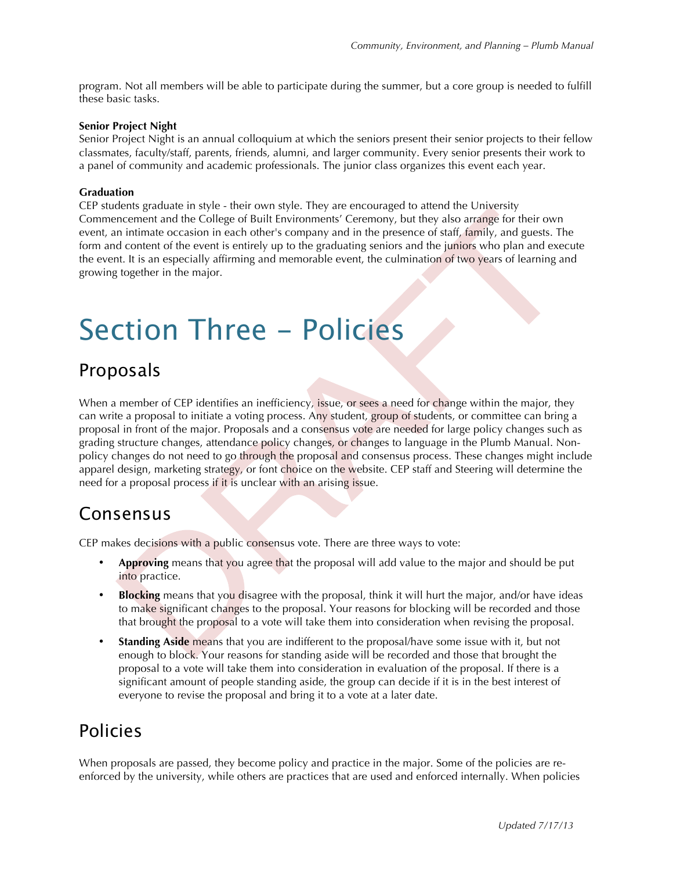program. Not all members will be able to participate during the summer, but a core group is needed to fulfill these basic tasks.

#### **Senior Project Night**

Senior Project Night is an annual colloquium at which the seniors present their senior projects to their fellow classmates, faculty/staff, parents, friends, alumni, and larger community. Every senior presents their work to a panel of community and academic professionals. The junior class organizes this event each year.

#### **Graduation**

CEP students graduate in style - their own style. They are encouraged to attend the University Commencement and the College of Built Environments' Ceremony, but they also arrange for their own event, an intimate occasion in each other's company and in the presence of staff, family, and guests. The form and content of the event is entirely up to the graduating seniors and the juniors who plan and execute the event. It is an especially affirming and memorable event, the culmination of two years of learning and growing together in the major.

## Section Three - Policies

#### Proposals

When a member of CEP identifies an inefficiency, issue, or sees a need for change within the major, they can write a proposal to initiate a voting process. Any student, group of students, or committee can bring a proposal in front of the major. Proposals and a consensus vote are needed for large policy changes such as grading structure changes, attendance policy changes, or changes to language in the Plumb Manual. Nonpolicy changes do not need to go through the proposal and consensus process. These changes might include apparel design, marketing strategy, or font choice on the website. CEP staff and Steering will determine the need for a proposal process if it is unclear with an arising issue.

#### Consensus

CEP makes decisions with a public consensus vote. There are three ways to vote:

- **Approving** means that you agree that the proposal will add value to the major and should be put into practice.
- **Blocking** means that you disagree with the proposal, think it will hurt the major, and/or have ideas to make significant changes to the proposal. Your reasons for blocking will be recorded and those that brought the proposal to a vote will take them into consideration when revising the proposal.
- **Standing Aside** means that you are indifferent to the proposal/have some issue with it, but not enough to block. Your reasons for standing aside will be recorded and those that brought the proposal to a vote will take them into consideration in evaluation of the proposal. If there is a significant amount of people standing aside, the group can decide if it is in the best interest of everyone to revise the proposal and bring it to a vote at a later date.

### Policies

When proposals are passed, they become policy and practice in the major. Some of the policies are reenforced by the university, while others are practices that are used and enforced internally. When policies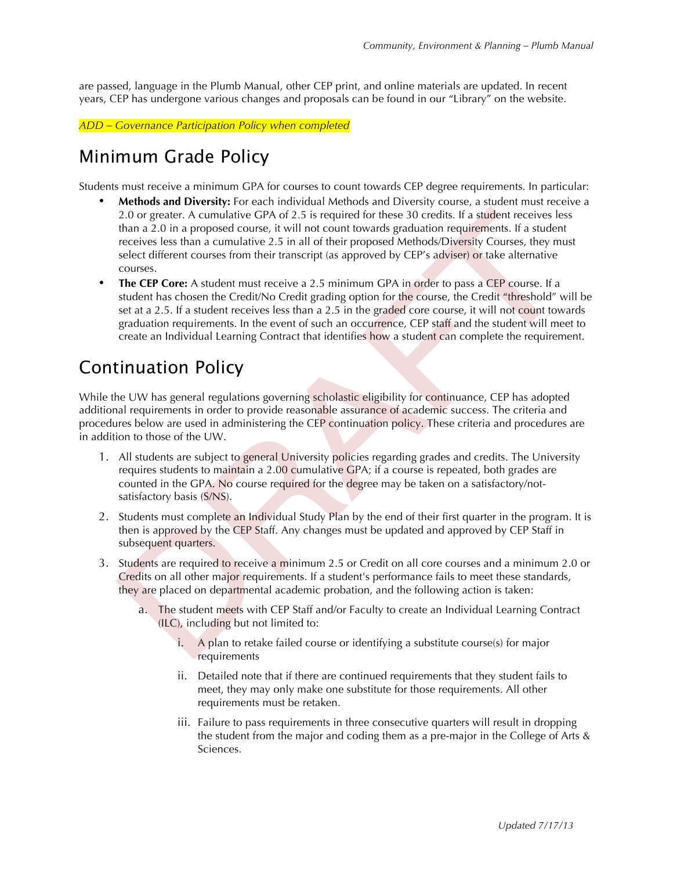are passed, language in the Plumb Manual, other CEP print, and online materials are updated. In recent years, CEP has undergone various changes and proposals can be found in our "Library" on the website.

*ADD – Governance Participation Policy when completed*

### Minimum Grade Policy

Students must receive a minimum GPA for courses to count towards CEP degree requirements. In particular:

- **Methods and Diversity:** For each individual Methods and Diversity course, a student must receive a 2.0 or greater. A cumulative GPA of 2.5 is required for these 30 credits. If a student receives less than a 2.0 in a proposed course, it will not count towards graduation requirements. If a student receives less than a cumulative 2.5 in all of their proposed Methods/Diversity Courses, they must select different courses from their transcript (as approved by CEP's adviser) or take alternative courses.
- **The CEP Core:** A student must receive a 2.5 minimum GPA in order to pass a CEP course. If a student has chosen the Credit/No Credit grading option for the course, the Credit "threshold" will be set at a 2.5. If a student receives less than a 2.5 in the graded core course, it will not count towards graduation requirements. In the event of such an occurrence, CEP staff and the student will meet to create an Individual Learning Contract that identifies how a student can complete the requirement.

### Continuation Policy

While the UW has general regulations governing scholastic eligibility for continuance, CEP has adopted additional requirements in order to provide reasonable assurance of academic success. The criteria and procedures below are used in administering the CEP continuation policy. These criteria and procedures are in addition to those of the UW.

- 1. All students are subject to general University policies regarding grades and credits. The University requires students to maintain a 2.00 cumulative GPA; if a course is repeated, both grades are counted in the GPA. No course required for the degree may be taken on a satisfactory/notsatisfactory basis (S/NS).
- 2. Students must complete an Individual Study Plan by the end of their first quarter in the program. It is then is approved by the CEP Staff. Any changes must be updated and approved by CEP Staff in subsequent quarters.
- 3. Students are required to receive a minimum 2.5 or Credit on all core courses and a minimum 2.0 or Credits on all other major requirements. If a student's performance fails to meet these standards, they are placed on departmental academic probation, and the following action is taken:
	- a. The student meets with CEP Staff and/or Faculty to create an Individual Learning Contract (ILC), including but not limited to:
		- i. A plan to retake failed course or identifying a substitute course(s) for major requirements
		- ii. Detailed note that if there are continued requirements that they student fails to meet, they may only make one substitute for those requirements. All other requirements must be retaken.
		- iii. Failure to pass requirements in three consecutive quarters will result in dropping the student from the major and coding them as a pre-major in the College of Arts & Sciences.